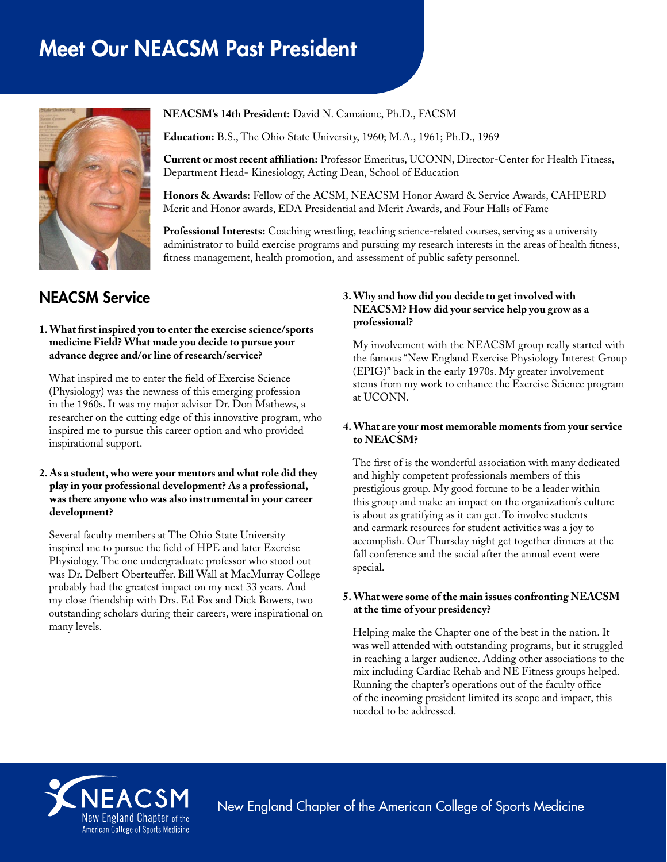# Meet Our NEACSM Past President



**NEACSM's 14th President:** David N. Camaione, Ph.D., FACSM

**Education:** B.S., The Ohio State University, 1960; M.A., 1961; Ph.D., 1969

**Current or most recent affiliation:** Professor Emeritus, UCONN, Director-Center for Health Fitness, Department Head- Kinesiology, Acting Dean, School of Education

**Honors & Awards:** Fellow of the ACSM, NEACSM Honor Award & Service Awards, CAHPERD Merit and Honor awards, EDA Presidential and Merit Awards, and Four Halls of Fame

**Professional Interests:** Coaching wrestling, teaching science-related courses, serving as a university administrator to build exercise programs and pursuing my research interests in the areas of health fitness, fitness management, health promotion, and assessment of public safety personnel.

# NEACSM Service

#### **1. What first inspired you to enter the exercise science/sports medicine Field? What made you decide to pursue your advance degree and/or line of research/service?**

What inspired me to enter the field of Exercise Science (Physiology) was the newness of this emerging profession in the 1960s. It was my major advisor Dr. Don Mathews, a researcher on the cutting edge of this innovative program, who inspired me to pursue this career option and who provided inspirational support.

#### **2. As a student, who were your mentors and what role did they play in your professional development? As a professional, was there anyone who was also instrumental in your career development?**

Several faculty members at The Ohio State University inspired me to pursue the field of HPE and later Exercise Physiology. The one undergraduate professor who stood out was Dr. Delbert Oberteuffer. Bill Wall at MacMurray College probably had the greatest impact on my next 33 years. And my close friendship with Drs. Ed Fox and Dick Bowers, two outstanding scholars during their careers, were inspirational on many levels.

## **3. Why and how did you decide to get involved with NEACSM? How did your service help you grow as a professional?**

My involvement with the NEACSM group really started with the famous "New England Exercise Physiology Interest Group (EPIG)" back in the early 1970s. My greater involvement stems from my work to enhance the Exercise Science program at UCONN.

## **4. What are your most memorable moments from your service to NEACSM?**

The first of is the wonderful association with many dedicated and highly competent professionals members of this prestigious group. My good fortune to be a leader within this group and make an impact on the organization's culture is about as gratifying as it can get. To involve students and earmark resources for student activities was a joy to accomplish. Our Thursday night get together dinners at the fall conference and the social after the annual event were special.

## **5. What were some of the main issues confronting NEACSM at the time of your presidency?**

Helping make the Chapter one of the best in the nation. It was well attended with outstanding programs, but it struggled in reaching a larger audience. Adding other associations to the mix including Cardiac Rehab and NE Fitness groups helped. Running the chapter's operations out of the faculty office of the incoming president limited its scope and impact, this needed to be addressed.



New England Chapter of the American College of Sports Medicine